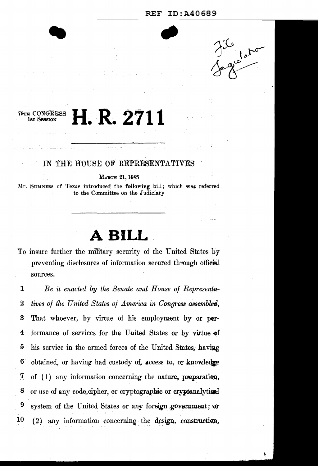#### ID:A40689 **REF**



### H. R. 2711 79тн CONGRESS 1st Session

### IN THE HOUSE OF REPRESENTATIVES

MARCH 21, 1945

Mr. SUMNERS of Texas introduced the following bill; which was referred to the Committee on the Judiciary

# A BILL

To insure further the military security of the United States by preventing disclosures of information secured through official sources.

 $\mathbf{1}$ Be it enacted by the Senate and House of Representatives of the United States of America in Congress assembled,  $\bf{2}$ 3 That whoever, by virtue of his employment by or performance of services for the United States or by virtue of 4 his service in the armed forces of the United States, having 5 6 obtained, or having had custody of, access to, or knowledge  $\boldsymbol{7}$ of  $(1)$  any information concerning the nature, preparation, 8 or use of any code, cipher, or cryptographic or cryptanalytical 9 system of the United States or any foreign government; or 10  $(2)$  any information concerning the design, construction,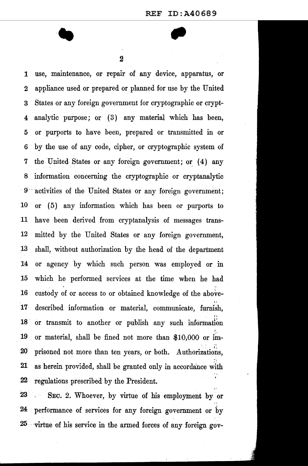2

1 use, maintenance, or repair of any device, apparatus, or 2 appliance used or prepared or planned for use by the United 3 States or any foreign government for cryptographic or crypt-4 analytic purpose; or  $(3)$  any material which has been, 5 or purports to have been, prepared or transmitted m or 6 by the use of any code, cipher, or cryptographic system of 7 the United. States or any foreign government; or\_ ( 4) any 8 information concerning the cryptographic or cryptanalytic 9 activities of the United States or any foreign government; 10 or ( 5) any information which has been or purports to 11 have been derived from cryptanalysis of messages trans-12 mitted by the United States or any foreign government, 13 shall, without authorization by the head of the department 14 or agency by which such person was employed or in 15 which he performed services at the time when he had  $16$  custody of or access to or obtained knowledge of the above-.. 17- described information or material, communicate, furnish, 18 or transmit to another or publish any such information } 19 or material, shall be fined not more than \$10,000 or im- $\cdot$  . (; 20' prisoned not more than ten years, or both. Authorizations, 21 as herein provided, shall be granted only in accordance with 22 · regulations prescribed by the President.

23 SEG. 2. Whoever, by virtue of his employment by or 24 performance of services for any foreign government or by 25 -virtue of his service in the armed forces of any foreign gov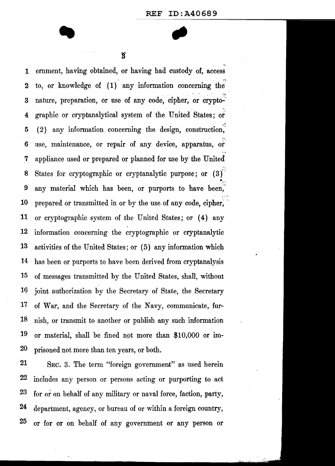. The contract of the contract of the contract of the contract of the contract of the contract of the contract of the contract of the contract of the contract of the contract of the contract of the contract of the contrac

 $\overline{\mathbf{3}}$ 

1 ernment, having obtained, or having had custody of, access 2 to, or knowledge of  $(1)$  any information concerning the 3 nature, preparation, or use of any code, cipher, or crypto-4 graphic or cryptanalytical system of the United States; or 5 (2) any information concerning the design, construction,  $6$  use, maintenance, or repair of any device, apparatus, or 7 appliance used or prepared or planned for use by the United 8 States for cryptographic or cryptanalytic purpose; or  $(3)$ <sup> $\check{ }$ </sup>  $\bullet_{\text{ex}}$ 9 any material which has been, or purports to have been, 10 prepared or transmitted in or by the use of any code, cipher, 11 or cryptographic system of the United States; or (4) any 12 information concerning the cryptographic or cryptanalytic 13 activities of the United States; or (5) any information which 14 has been or purports to have been derived from cryptanalysis 15 of messages transmitted by the United States, shall, without 16 joint authorization by the Secretary of State, the Secretary 17 of War, and the Secretary of the Navy, communicate, fur-18 nish, or transmit to another or publish any such information 19 or material, shall be fined not more than \$10,000 or im-20 prisoned not more than ten years, or both.

21 SEC. 3. The term "foreign government" as used herein 22 includes any person or persons acting or purporting to act 23 for or on behalf of any military or naval force, faction, party, 24 department, agency, or bureau of or within a foreign country, 25 or for or on behalf of any government or any person or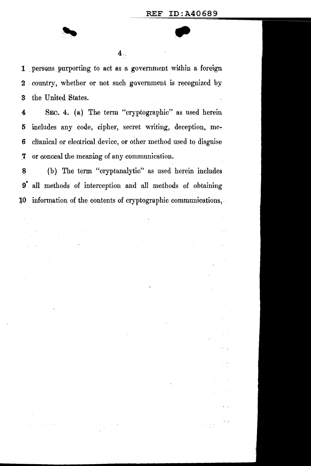$\bar{\alpha}$  .

1 . persons purporting to act as a government within a foreign 2 country, whether or not such government is recognized by. 3 the United States.

4 SEC. 4. (a) The term "cryptographic" as used herein 5 includes any code, cipher, secret writing, deception, me~ 6 clianical or electrical device, or other method used to disguise ,7 or conceal the meaning of any communication.

8 (b) The term "cryptanalytic'' as used herein includes 9• all methods of interception and all methods of obtaining 10 information of the contents of cryptographic communications,...